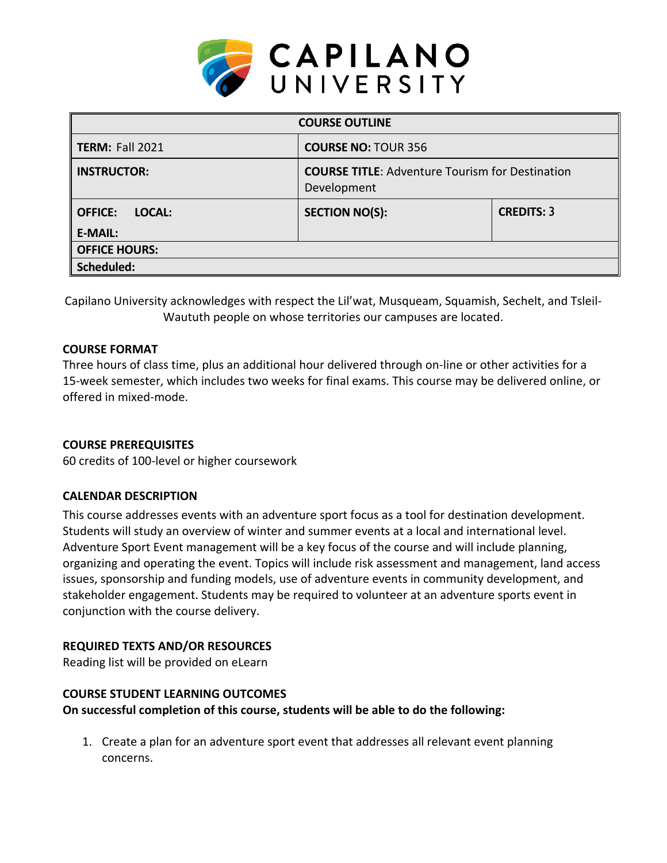

| <b>COURSE OUTLINE</b>                      |                                                                       |                   |  |  |  |
|--------------------------------------------|-----------------------------------------------------------------------|-------------------|--|--|--|
| <b>TERM: Fall 2021</b>                     | <b>COURSE NO: TOUR 356</b>                                            |                   |  |  |  |
| <b>INSTRUCTOR:</b>                         | <b>COURSE TITLE:</b> Adventure Tourism for Destination<br>Development |                   |  |  |  |
| <b>OFFICE:</b><br>LOCAL:<br><b>E-MAIL:</b> | <b>SECTION NO(S):</b>                                                 | <b>CREDITS: 3</b> |  |  |  |
| <b>OFFICE HOURS:</b>                       |                                                                       |                   |  |  |  |
| Scheduled:                                 |                                                                       |                   |  |  |  |

Capilano University acknowledges with respect the Lil'wat, Musqueam, Squamish, Sechelt, and Tsleil-Waututh people on whose territories our campuses are located.

## **COURSE FORMAT**

Three hours of class time, plus an additional hour delivered through on-line or other activities for a 15-week semester, which includes two weeks for final exams. This course may be delivered online, or offered in mixed-mode.

## **COURSE PREREQUISITES**

60 credits of 100-level or higher coursework

#### **CALENDAR DESCRIPTION**

This course addresses events with an adventure sport focus as a tool for destination development. Students will study an overview of winter and summer events at a local and international level. Adventure Sport Event management will be a key focus of the course and will include planning, organizing and operating the event. Topics will include risk assessment and management, land access issues, sponsorship and funding models, use of adventure events in community development, and stakeholder engagement. Students may be required to volunteer at an adventure sports event in conjunction with the course delivery.

## **REQUIRED TEXTS AND/OR RESOURCES**

Reading list will be provided on eLearn

#### **COURSE STUDENT LEARNING OUTCOMES**

**On successful completion of this course, students will be able to do the following:**

1. Create a plan for an adventure sport event that addresses all relevant event planning concerns.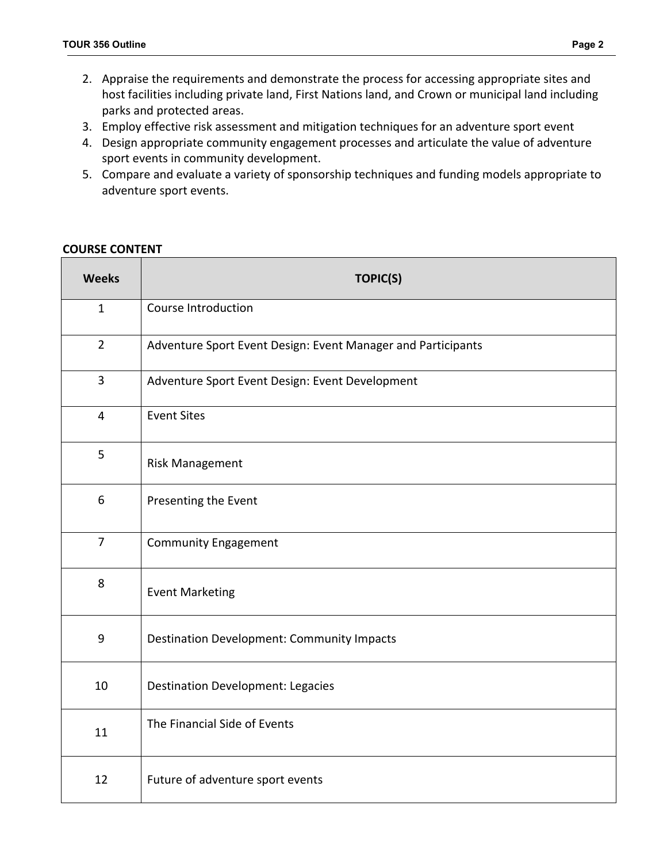- 2. Appraise the requirements and demonstrate the process for accessing appropriate sites and host facilities including private land, First Nations land, and Crown or municipal land including parks and protected areas.
- 3. Employ effective risk assessment and mitigation techniques for an adventure sport event
- 4. Design appropriate community engagement processes and articulate the value of adventure sport events in community development.
- 5. Compare and evaluate a variety of sponsorship techniques and funding models appropriate to adventure sport events.

#### **COURSE CONTENT**

| <b>Weeks</b>   | <b>TOPIC(S)</b>                                              |  |  |  |
|----------------|--------------------------------------------------------------|--|--|--|
| $\mathbf{1}$   | Course Introduction                                          |  |  |  |
| $\overline{2}$ | Adventure Sport Event Design: Event Manager and Participants |  |  |  |
| 3              | Adventure Sport Event Design: Event Development              |  |  |  |
| $\overline{4}$ | <b>Event Sites</b>                                           |  |  |  |
| 5              | <b>Risk Management</b>                                       |  |  |  |
| 6              | Presenting the Event                                         |  |  |  |
| $\overline{7}$ | <b>Community Engagement</b>                                  |  |  |  |
| 8              | <b>Event Marketing</b>                                       |  |  |  |
| $9$            | <b>Destination Development: Community Impacts</b>            |  |  |  |
| 10             | <b>Destination Development: Legacies</b>                     |  |  |  |
| 11             | The Financial Side of Events                                 |  |  |  |
| 12             | Future of adventure sport events                             |  |  |  |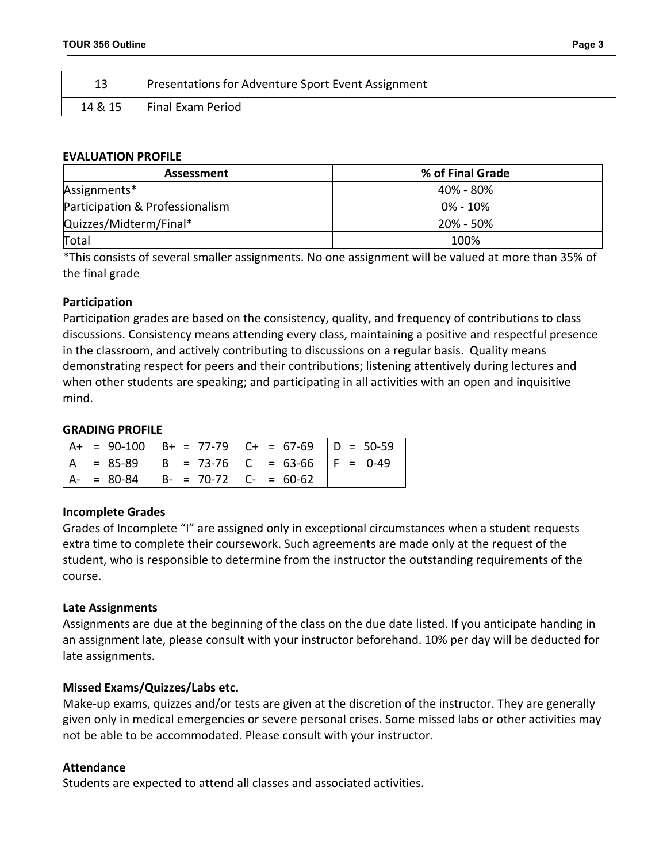|         | Presentations for Adventure Sport Event Assignment |
|---------|----------------------------------------------------|
| 14 & 15 | Final Exam Period                                  |

#### **EVALUATION PROFILE**

| <b>Assessment</b>               | % of Final Grade |
|---------------------------------|------------------|
| Assignments*                    | 40% - 80%        |
| Participation & Professionalism | 0% - 10%         |
| Quizzes/Midterm/Final*          | $20\% - 50\%$    |
| Total                           | 100%             |

\*This consists of several smaller assignments. No one assignment will be valued at more than 35% of the final grade

## **Participation**

Participation grades are based on the consistency, quality, and frequency of contributions to class discussions. Consistency means attending every class, maintaining a positive and respectful presence in the classroom, and actively contributing to discussions on a regular basis. Quality means demonstrating respect for peers and their contributions; listening attentively during lectures and when other students are speaking; and participating in all activities with an open and inquisitive mind.

## **GRADING PROFILE**

|  |                                        | $A+ = 90-100$ $B+ = 77-79$ $C+ = 67-69$ $D = 50-59$ |  |
|--|----------------------------------------|-----------------------------------------------------|--|
|  |                                        | $ A = 85-89$ $ B = 73-76$ $ C = 63-66$ $ F = 0-49$  |  |
|  | $A- = 80-84$ $B- = 70-72$ $C- = 60-62$ |                                                     |  |

## **Incomplete Grades**

Grades of Incomplete "I" are assigned only in exceptional circumstances when a student requests extra time to complete their coursework. Such agreements are made only at the request of the student, who is responsible to determine from the instructor the outstanding requirements of the course.

## **Late Assignments**

Assignments are due at the beginning of the class on the due date listed. If you anticipate handing in an assignment late, please consult with your instructor beforehand. 10% per day will be deducted for late assignments.

## **Missed Exams/Quizzes/Labs etc.**

Make-up exams, quizzes and/or tests are given at the discretion of the instructor. They are generally given only in medical emergencies or severe personal crises. Some missed labs or other activities may not be able to be accommodated. Please consult with your instructor.

## **Attendance**

Students are expected to attend all classes and associated activities.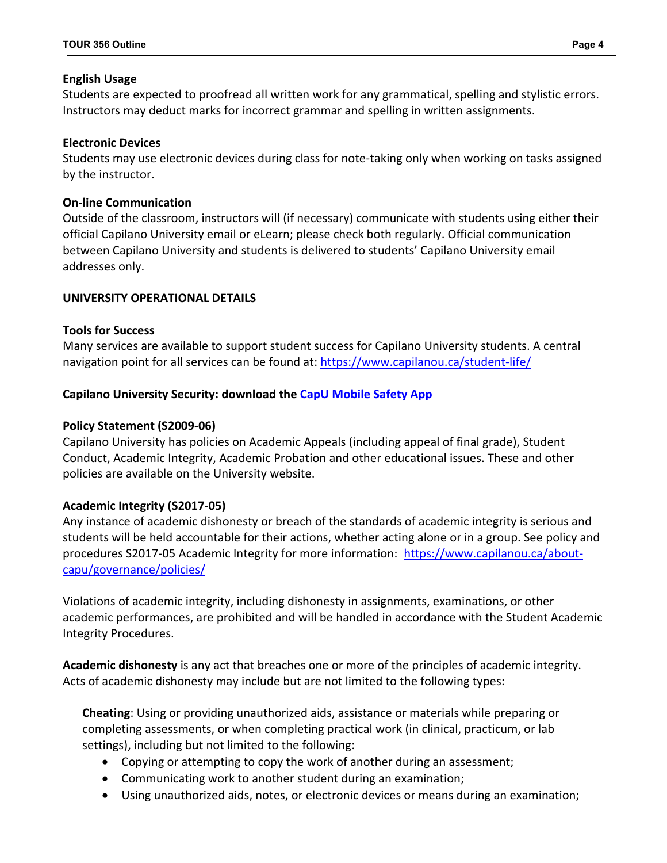## **English Usage**

Students are expected to proofread all written work for any grammatical, spelling and stylistic errors. Instructors may deduct marks for incorrect grammar and spelling in written assignments.

# **Electronic Devices**

Students may use electronic devices during class for note-taking only when working on tasks assigned by the instructor.

# **On-line Communication**

Outside of the classroom, instructors will (if necessary) communicate with students using either their official Capilano University email or eLearn; please check both regularly. Official communication between Capilano University and students is delivered to students' Capilano University email addresses only.

# **UNIVERSITY OPERATIONAL DETAILS**

# **Tools for Success**

Many services are available to support student success for Capilano University students. A central navigation point for all services can be found at:<https://www.capilanou.ca/student-life/>

## **Capilano University Security: download the [CapU Mobile Safety App](https://www.capilanou.ca/student-life/support--wellness/safety--security/capu-safe-app/)**

# **Policy Statement (S2009-06)**

Capilano University has policies on Academic Appeals (including appeal of final grade), Student Conduct, Academic Integrity, Academic Probation and other educational issues. These and other policies are available on the University website.

# **Academic Integrity (S2017-05)**

Any instance of academic dishonesty or breach of the standards of academic integrity is serious and students will be held accountable for their actions, whether acting alone or in a group. See policy and procedures S2017-05 Academic Integrity for more information: [https://www.capilanou.ca/about](https://www.capilanou.ca/about-capu/governance/policies/)[capu/governance/policies/](https://www.capilanou.ca/about-capu/governance/policies/)

Violations of academic integrity, including dishonesty in assignments, examinations, or other academic performances, are prohibited and will be handled in accordance with the Student Academic Integrity Procedures.

**Academic dishonesty** is any act that breaches one or more of the principles of academic integrity. Acts of academic dishonesty may include but are not limited to the following types:

**Cheating**: Using or providing unauthorized aids, assistance or materials while preparing or completing assessments, or when completing practical work (in clinical, practicum, or lab settings), including but not limited to the following:

- Copying or attempting to copy the work of another during an assessment;
- Communicating work to another student during an examination;
- Using unauthorized aids, notes, or electronic devices or means during an examination;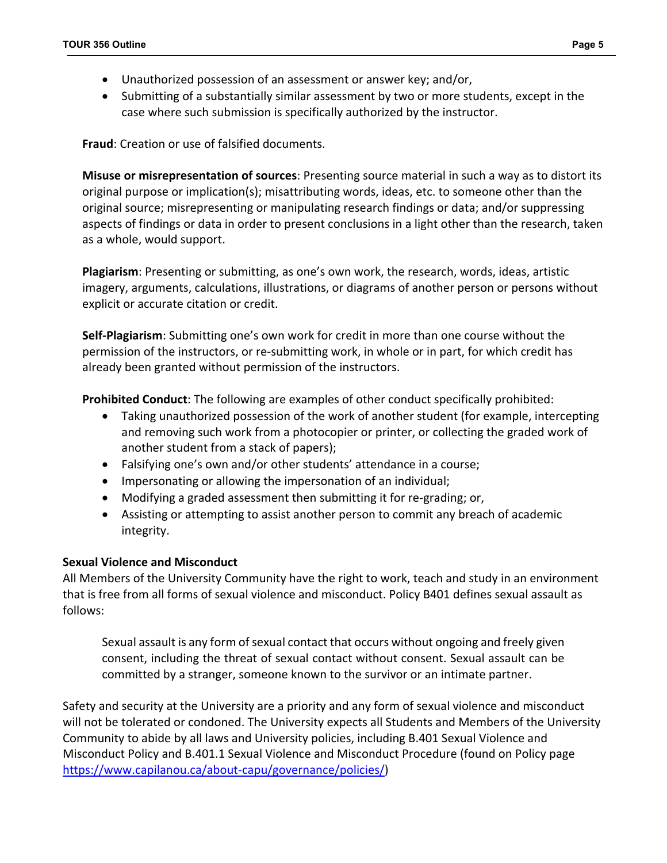- Unauthorized possession of an assessment or answer key; and/or,
- Submitting of a substantially similar assessment by two or more students, except in the case where such submission is specifically authorized by the instructor.

**Fraud**: Creation or use of falsified documents.

**Misuse or misrepresentation of sources**: Presenting source material in such a way as to distort its original purpose or implication(s); misattributing words, ideas, etc. to someone other than the original source; misrepresenting or manipulating research findings or data; and/or suppressing aspects of findings or data in order to present conclusions in a light other than the research, taken as a whole, would support.

**Plagiarism**: Presenting or submitting, as one's own work, the research, words, ideas, artistic imagery, arguments, calculations, illustrations, or diagrams of another person or persons without explicit or accurate citation or credit.

**Self-Plagiarism**: Submitting one's own work for credit in more than one course without the permission of the instructors, or re-submitting work, in whole or in part, for which credit has already been granted without permission of the instructors.

**Prohibited Conduct**: The following are examples of other conduct specifically prohibited:

- Taking unauthorized possession of the work of another student (for example, intercepting and removing such work from a photocopier or printer, or collecting the graded work of another student from a stack of papers);
- Falsifying one's own and/or other students' attendance in a course;
- Impersonating or allowing the impersonation of an individual;
- Modifying a graded assessment then submitting it for re-grading; or,
- Assisting or attempting to assist another person to commit any breach of academic integrity.

## **Sexual Violence and Misconduct**

All Members of the University Community have the right to work, teach and study in an environment that is free from all forms of sexual violence and misconduct. Policy B401 defines sexual assault as follows:

Sexual assault is any form of sexual contact that occurs without ongoing and freely given consent, including the threat of sexual contact without consent. Sexual assault can be committed by a stranger, someone known to the survivor or an intimate partner.

Safety and security at the University are a priority and any form of sexual violence and misconduct will not be tolerated or condoned. The University expects all Students and Members of the University Community to abide by all laws and University policies, including B.401 Sexual Violence and Misconduct Policy and B.401.1 Sexual Violence and Misconduct Procedure (found on Policy page [https://www.capilanou.ca/about-capu/governance/policies/\)](https://www.capilanou.ca/about-capu/governance/policies/)